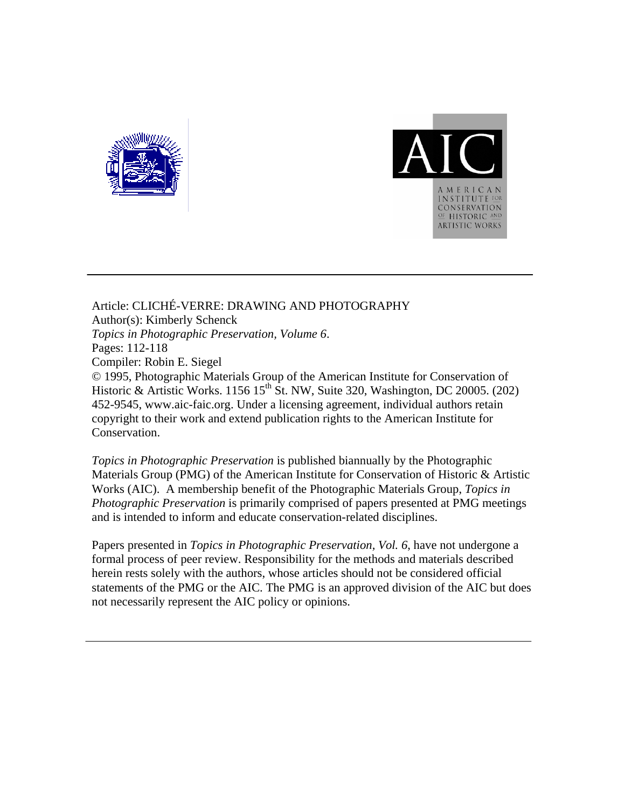



Article: CLICHÉ-VERRE: DRAWING AND PHOTOGRAPHY Author(s): Kimberly Schenck *Topics in Photographic Preservation, Volume 6*. Pages: 112-118 Compiler: Robin E. Siegel © 1995, Photographic Materials Group of the American Institute for Conservation of Historic & Artistic Works. 1156 15<sup>th</sup> St. NW, Suite 320, Washington, DC 20005. (202) 452-9545, www.aic-faic.org. Under a licensing agreement, individual authors retain copyright to their work and extend publication rights to the American Institute for Conservation.

*Topics in Photographic Preservation* is published biannually by the Photographic Materials Group (PMG) of the American Institute for Conservation of Historic & Artistic Works (AIC). A membership benefit of the Photographic Materials Group, *Topics in Photographic Preservation* is primarily comprised of papers presented at PMG meetings and is intended to inform and educate conservation-related disciplines.

Papers presented in *Topics in Photographic Preservation, Vol. 6*, have not undergone a formal process of peer review. Responsibility for the methods and materials described herein rests solely with the authors, whose articles should not be considered official statements of the PMG or the AIC. The PMG is an approved division of the AIC but does not necessarily represent the AIC policy or opinions.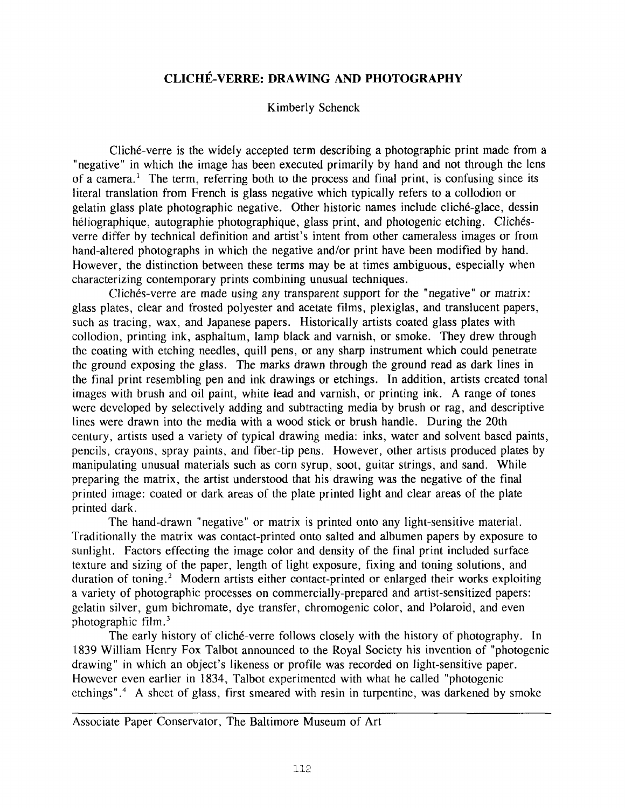## **CLICHE-VERRE: DRAWING AND PHOTOGRAPHY**

## Kimberly Schenck

Cliché-verre is the widely accepted term describing a photographic print made from a "negative" in which the image has been executed primarily by hand and not through the lens of a camera.' The term, referring both to the process and final print, is confusing since its literal translation from French is glass negative which typically refers to a collodion or gelatin glass plate photographic negative. Other historic names include clich6-glace, dessin héliographique, autographie photographique, glass print, and photogenic etching. Clichésverre differ by technical definition and artist's intent from other cameraless images or from hand-altered photographs in which the negative and/or print have been modified by hand. However, the distinction between these terms may be at times ambiguous, especially when characterizing contemporary prints combining unusual techniques.

glass plates, clear and frosted polyester and acetate films, Plexiglas, and translucent papers, such as tracing, wax, and Japanese papers. Historically artists coated glass plates with collodion, printing ink, asphaltum, lamp black and varnish, or smoke. They drew through the coating with etching needles, quill pens, or any sharp instrument which could penetrate the ground exposing the glass. The marks drawn through the ground read as dark lines in the final print resembling pen and ink drawings or etchings. In addition, artists created tonal images with brush and oil paint, white lead and varnish, or printing ink. **A** range of tones were developed by selectively adding and subtracting media by brush or rag, and descriptive lines were drawn into the media with a wood stick or brush handle. During the 20th century, artists used a variety of typical drawing media: inks, water and solvent based paints, pencils, crayons, spray paints, and fiber-tip pens. However, other artists produced plates by manipulating unusual materials such as corn syrup, soot, guitar strings, and sand. While preparing the matrix, the artist understood that his drawing was the negative of the final printed image: coated or dark areas of the plate printed light and clear areas of the plate printed dark. Clichés-verre are made using any transparent support for the "negative" or matrix:

The hand-drawn "negative" or matrix is printed onto any light-sensitive material. Traditionally the matrix was contact-printed onto salted and albumen papers by exposure to sunlight. Factors effecting the image color and density of the final print included surface texture and sizing of the paper, length of light exposure, fixing and toning solutions, and duration of toning.<sup>2</sup> Modern artists either contact-printed or enlarged their works exploiting a variety of photographic processes on commercially-prepared and artist-sensitized papers: gelatin silver, gum bichromate, dye transfer, chromogenic color, and Polaroid, and even photographic film.

The early history of cliché-verre follows closely with the history of photography. In 1839 William Henry Fox Talbot announced to the Royal Society his invention of "photogenic drawing" in which an object's likeness or profile was recorded on light-sensitive paper. However even earlier in **1834,** Talbot experimented with what he called "photogenic etchings".<sup>4</sup> A sheet of glass, first smeared with resin in turpentine, was darkened by smoke

Associate Paper Conservator, The Baltimore Museum of Art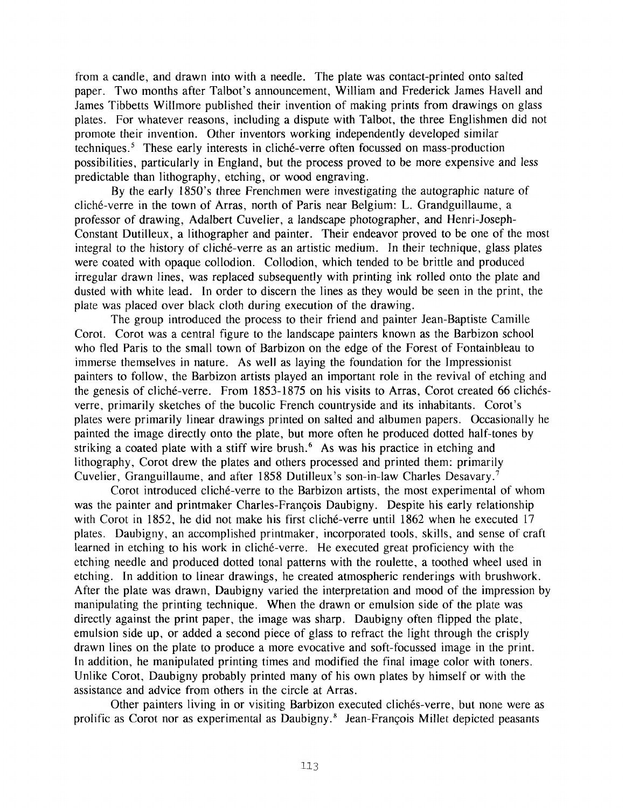from a candle, and drawn into with a needle. The plate was contact-printed onto salted paper. Two months after Talbot's announcement, William and Frederick James Havell and James Tibbetts Willmore published their invention of making prints from drawings on glass plates. For whatever reasons, including a dispute with Talbot, the three Englishmen did not promote their invention. Other inventors working independently developed similar techniques. $<sup>5</sup>$  These early interests in cliché-verre often focussed on mass-production</sup> possibilities, particularly in England, but the process proved to be more expensive and less predictable than lithography, etching, or wood engraving.

cliché-verre in the town of Arras, north of Paris near Belgium: L. Grandguillaume, a professor of drawing, Adalbert Cuvelier, a landscape photographer, and Henri-Joseph-Constant Dutilleux, a lithographer and painter. Their endeavor proved to be one of the most integral to the history of cliché-verre as an artistic medium. In their technique, glass plates were coated with opaque collodion. Collodion, which tended to be brittle and produced irregular drawn lines, was replaced subsequently with printing ink rolled onto the plate and dusted with white lead. In order to discern the lines as they would be seen in the print, the plate was placed over black cloth during execution of the drawing. By the early 1850's three Frenchmen were investigating the autographic nature of

The group introduced the process to their friend and painter Jean-Baptiste Camille Corot. Corot was a central figure to the landscape painters known as the Barbizon school who fled Paris to the small town of Barbizon on the edge of the Forest of Fontainbleau to immerse themselves in nature. As well as laying the foundation for the Impressionist painters to follow, the Barbizon artists played an important role in the revival of etching and the genesis of cliché-verre. From 1853-1875 on his visits to Arras, Corot created 66 clichésverre, primarily sketches of the bucolic French countryside and its inhabitants. Corot's plates were primarily linear drawings printed on salted and albumen papers. Occasionally he painted the image directly onto the plate, but more often he produced dotted half-tones by striking a coated plate with a stiff wire brush.<sup>6</sup> As was his practice in etching and lithography, Corot drew the plates and others processed and printed them: primarily Cuvelier, Granguillaume, and after 1858 Dutilleux's son-in-law Charles Desavary.<sup>7</sup>

was the painter and printmaker Charles-François Daubigny. Despite his early relationship with Corot in 1852, he did not make his first cliché-verre until 1862 when he executed 17 plates. Daubigny, an accomplished printmaker, incorporated tools, skills, and sense of craft learned in etching to his work in cliché-verre. He executed great proficiency with the etching needle and produced dotted tonal patterns with the roulette, a toothed wheel used in etching. In addition to linear drawings, he created atmospheric renderings with brushwork. After the plate was drawn, Daubigny varied the interpretation and mood of the impression by manipulating the printing technique. When the drawn or emulsion side of the plate was directly against the print paper, the image was sharp. Daubigny often flipped the plate, emulsion side up, or added a second piece of glass to refract the light through the crisply drawn lines on the plate to produce a more evocative and soft-focussed image in the print. In addition, he manipulated printing times and modified the final image color with toners. Unlike Corot, Daubigny probably printed many of his own plates by himself or with the assistance and advice from others in the circle at Arras. Corot introduced cliché-verre to the Barbizon artists, the most experimental of whom

prolific as Corot nor as experimental as Daubigny.<sup>8</sup> Jean-François Millet depicted peasants Other painters living in or visiting Barbizon executed clichés-verre, but none were as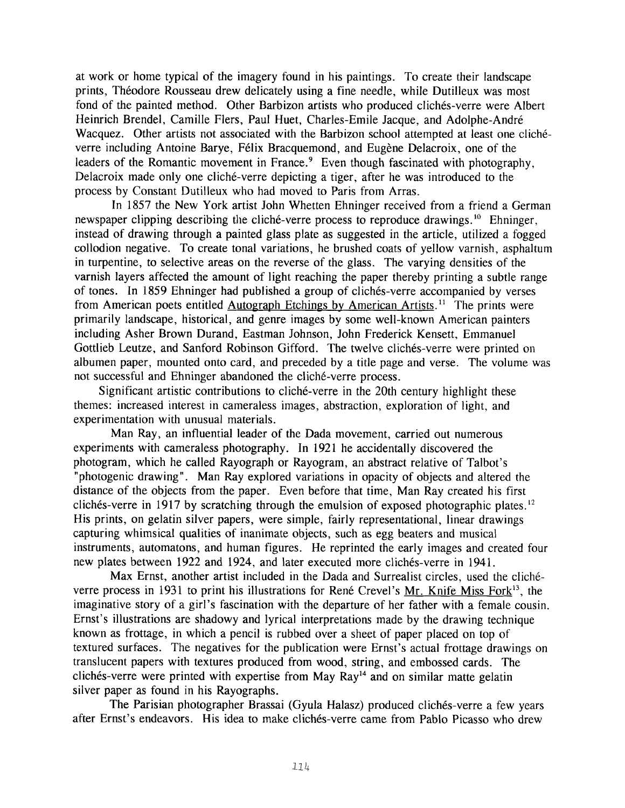at work or home typical of the imagery found in his paintings. To create their landscape prints, Théodore Rousseau drew delicately using a fine needle, while Dutilleux was most fond of the painted method. Other Barbizon artists who produced clichés-verre were Albert Heinrich Brendel, Camille Flers, Paul Huet, Charles-Emile Jacque, and Adolphe-Andre Wacquez. Other artists not associated with the Barbizon school attempted at least one clichéverre including Antoine Barye, Félix Bracquemond, and Eugène Delacroix, one of the leaders of the Romantic movement in France.<sup>9</sup> Even though fascinated with photography, Delacroix made only one cliché-verre depicting a tiger, after he was introduced to the process by Constant Dutilleux who had moved to Paris from Arras.

newspaper clipping describing the cliché-verre process to reproduce drawings.<sup>10</sup> Ehninger, instead of drawing through a painted glass plate as suggested in the article, utilized a fogged collodion negative. To create tonal variations, he brushed coats of yellow varnish, asphaltum in turpentine, to selective areas on the reverse of the glass. The varying densities of the varnish layers affected the amount of light reaching the paper thereby printing a subtle range of tones. In 1859 Ehninger had published a group of clichés-verre accompanied by verses from American poets entitled Autograph Etchings by American Artists.<sup>11</sup> The prints were primarily landscape, historical, and genre images by some well-known American painters including Asher Brown Durand, Eastman Johnson, John Frederick Kensett, Emmanuel Gottlieb Leutze, and Sanford Robinson Gifford. The twelve clichés-verre were printed on albumen paper, mounted onto card, and preceded by a title page and verse. The volume was not successful and Ehninger abandoned the cliche-verre process. In 1857 the New York artist John Whetten Ehninger received from a friend a German

themes: increased interest in cameraless images, abstraction, exploration of light, and experimentation with unusual materials. Significant artistic contributions to cliche-verre in the 20th century highlight these

experiments with cameraless photography. In 1921 he accidentally discovered the photogram, which he called Rayograph or Rayogram, an abstract relative of Talbot's "photogenic drawing". Man Ray explored variations in opacity of objects and altered the distance of the objects from the paper. Even before that time, Man Ray created his first clichés-verre in 1917 by scratching through the emulsion of exposed photographic plates.<sup>12</sup> His prints, on gelatin silver papers, were simple, fairly representational, linear drawings capturing whimsical qualities of inanimate objects, such as egg beaters and musical instruments, automatons, and human figures. He reprinted the early images and created four new plates between 1922 and 1924, and later executed more clichés-verre in 1941. Man Ray, an influential leader of the Dada movement, carried out numerous

Max Ernst, another artist included in the Dada and Surrealist circles, used the clicheverre process in 1931 to print his illustrations for René Crevel's Mr. Knife Miss Fork<sup>13</sup>, the imaginative story of a girl's fascination with the departure of her father with a female cousin. Ernst's illustrations are shadowy and lyrical interpretations made by the drawing technique known as frottage, in which a pencil is rubbed over a sheet of paper placed on top of textured surfaces. The negatives for the publication were Ernst's actual frottage drawings on translucent papers with textures produced from wood, string, and embossed cards. The  $c$ lichés-verre were printed with expertise from May Ray<sup>14</sup> and on similar matte gelatin silver paper as found in his Rayographs.

The Parisian photographer Brassai (Gyula Halasz) produced clichés-verre a few years after Ernst's endeavors. His idea to make clichés-verre came from Pablo Picasso who drew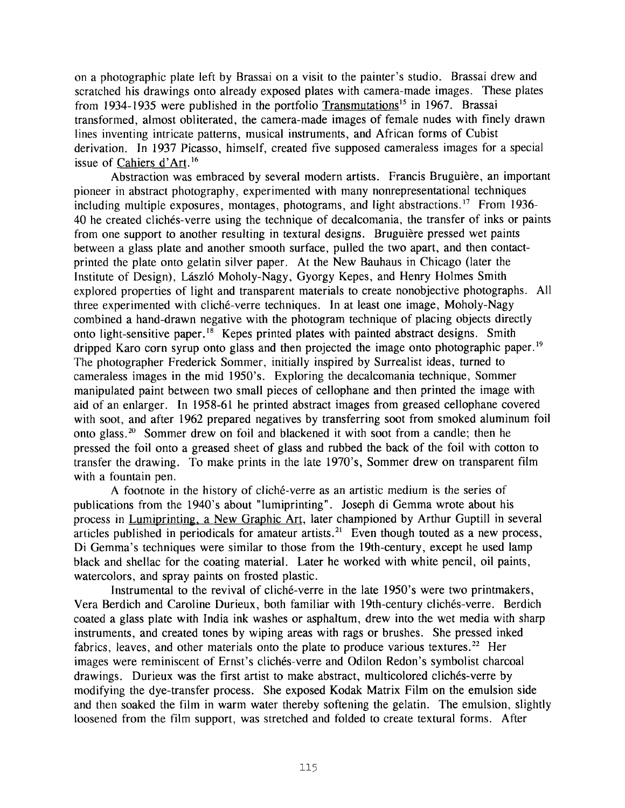on a photographic plate left by Brassai on a visit to the painter's studio. Brassai drew and scratched his drawings onto already exposed plates with camera-made images. These plates from 1934-1935 were published in the portfolio Transmutations<sup>15</sup> in 1967. Brassai transformed, almost obliterated, the camera-made images of female nudes with finely drawn lines inventing intricate patterns, musical instruments, and African forms of Cubist derivation. In 1937 Picasso, himself, created five supposed cameraless images for a special issue of Cahiers d'Art.<sup>16</sup>

pioneer in abstract photography, experimented with many nonrepresentational techniques including multiple exposures, montages, photograms, and light abstractions.<sup>17</sup> From 1936-40 he created clichés-verre using the technique of decalcomania, the transfer of inks or paints from one support to another resulting in textural designs. Bruguière pressed wet paints between a glass plate and another smooth surface, pulled the two apart, and then contactprinted the plate onto gelatin silver paper. At the New Bauhaus in Chicago (later the Institute of Design), László Moholy-Nagy, Gyorgy Kepes, and Henry Holmes Smith explored properties of light and transparent materials to create nonobjective photographs. All three experimented with cliché-verre techniques. In at least one image, Moholy-Nagy combined a hand-drawn negative with the photogram technique of placing objects directly onto light-sensitive paper.<sup>18</sup> Kepes printed plates with painted abstract designs. Smith dripped Karo corn syrup onto glass and then projected the image onto photographic paper.<sup>19</sup> The photographer Frederick Sommer, initially inspired by Surrealist ideas, turned to cameraless images in the mid 1950's. Exploring the decalcomania technique, Sommer manipulated paint between two small pieces of cellophane and then printed the image with aid of an enlarger. In 1958-61 he printed abstract images from greased cellophane covered with soot, and after 1962 prepared negatives by transferring soot from smoked aluminum foil onto glass.<sup>20</sup> Sommer drew on foil and blackened it with soot from a candle; then he pressed the foil onto a greased sheet of glass and rubbed the back of the foil with cotton to transfer the drawing. To make prints in the late 1970's, Sommer drew on transparent film with a fountain pen. Abstraction was embraced by several modern artists. Francis Bruguière, an important

A footnote in the history of cliche-verre as an artistic medium is the series of publications from the 1940's about "lumiprinting". Joseph di Gemma wrote about his process in Lumiprinting, a New Graphic Art, later championed by Arthur Guptill in several articles published in periodicals for amateur artists.<sup>21</sup> Even though touted as a new process, Di Gemma's techniques were similar to those from the 19th-century, except he used lamp black and shellac for the coating material. Later he worked with white pencil, oil paints, watercolors, and spray paints on frosted plastic.

Instrumental to the revival of cliché-verre in the late 1950's were two printmakers, Vera Berdich and Caroline Durieux, both familiar with 19th-century cliches-verre. Berdich coated a glass plate with India ink washes or asphaltum, drew into the wet media with sharp instruments, and created tones by wiping areas with rags or brushes. She pressed inked fabrics, leaves, and other materials onto the plate to produce various textures.<sup>22</sup> Her images were reminiscent of Ernst's cliches-verre and Odilon Redon's symbolist charcoal drawings. Durieux was the first artist to make abstract, multicolored clichés-verre by modifying the dye-transfer process. She exposed Kodak Matrix Film on the emulsion side and then soaked the film in warm water thereby softening the gelatin. The emulsion, slightly loosened from the film support, was stretched and folded to create textural forms. After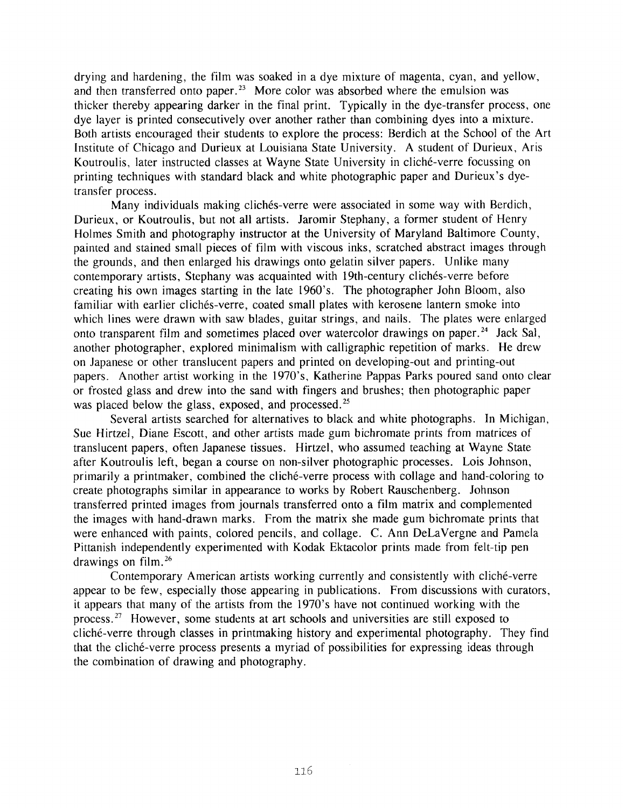drying and hardening, the film was soaked in a dye mixture of magenta, cyan, and yellow, and then transferred onto paper.<sup>23</sup> More color was absorbed where the emulsion was thicker thereby appearing darker in the final print. Typically in the dye-transfer process, one dye layer is printed consecutively over another rather than combining dyes into a mixture. Both artists encouraged their students to explore the process: Berdich at the School of the Art Institute of Chicago and Durieux at Louisiana State University, A student of Durieux, Aris Koutroulis, later instructed classes at Wayne State University in cliché-verre focussing on printing techniques with standard black and white photographic paper and Durieux's dyetransfer process.

Many individuals making clichés-verre were associated in some way with Berdich, Durieux, or Koutroulis, but not all artists. Jaromir Stephany, a former student of Henry Holmes Smith and photography instructor at the University of Maryland Baltimore County, painted and stained small pieces of film with viscous inks, scratched abstract images through the grounds, and then enlarged his drawings onto gelatin silver papers. Unlike many contemporary artists, Stephany was acquainted with 19th-century clichés-verre before creating his own images starting in the late 1960's. The photographer John Bloom, also familiar with earlier clichés-verre, coated small plates with kerosene lantern smoke into which lines were drawn with saw blades, guitar strings, and nails. The plates were enlarged onto transparent film and sometimes placed over watercolor drawings on paper.<sup>24</sup> Jack Sal, another photographer, explored minimalism with calligraphic repetition of marks. He drew on Japanese or other translucent papers and printed on developing-out and printing-out papers. Another artist working in the 1970's, Katherine Pappas Parks poured sand onto clear or frosted glass and drew into the sand with fingers and brushes; then photographic paper was placed below the glass, exposed, and processed.<sup>25</sup>

Sue Hirtzel, Diane Escott, and other artists made gum bichromate prints from matrices of translucent papers, often Japanese tissues. Hirtzel, who assumed teaching at Wayne State after Koutroulis left, began a course on non-silver photographic processes. Lois Johnson, primarily a printmaker, combined the cliché-verre process with collage and hand-coloring to create photographs similar in appearance to works by Robert Rauschenberg. Johnson transferred printed images from journals transferred onto a film matrix and complemented the images with hand-drawn marks. From the matrix she made gum blchromate prints that were enhanced with paints, colored pencils, and collage. C. Ann DeLaVergne and Pamela Pittanish independently experimented with Kodak Ektacolor prints made from felt-tip pen drawings on film.<sup>26</sup> Several artists searched for alternatives to black and white photographs. In Michigan,

appear to be few, especially those appearing in publications. From discussions with curators, it appears that many of the artists from the 1970's have not continued working with the cliche-verre through classes in printmaking history and experimental photography. They find that the cliché-verre process presents a myriad of possibilities for expressing ideas through the combination of drawing and photography. Contemporary American artists working currently and consistently with cliche-verre process.<sup>27</sup> However, some students at art schools and universities are still exposed to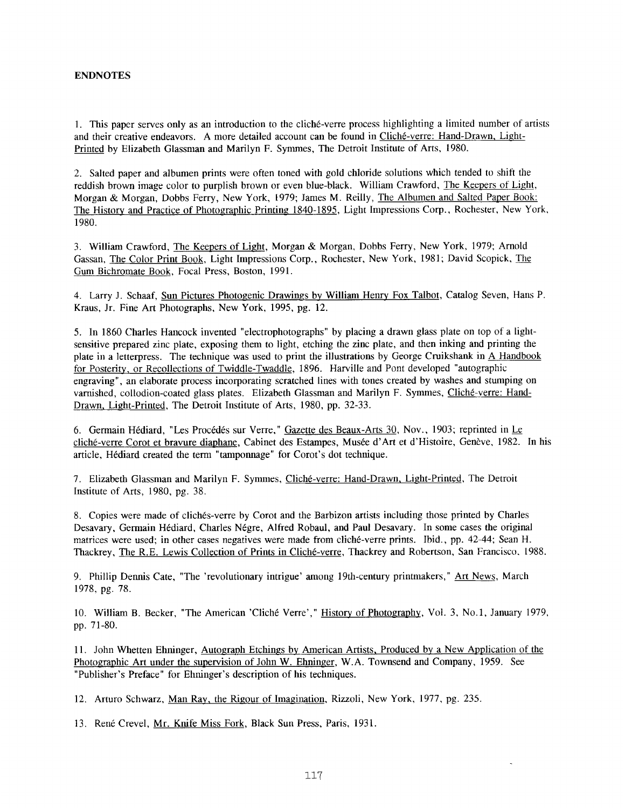## **ENDNOTES**

1. This paper serves only as an introduction to the cliche-verre process highlighting a limited number of artists and their creative endeavors. A more detailed account can be found in Cliché-verre: Hand-Drawn, Light-Printed by Elizabeth Glassman and Marilyn F. Symmes, The Detroit Institute of Arts, 1980.

2. Salted paper and albumen prints were often toned with gold chloride solutions which tended to shift the reddish brown image color to purplish brown or even blue-black. William Crawford, The Keepers of Light, Morgan & Morgan, Dobbs Ferry, New York, 1979; James M. Reilly, The Albumen and Salted Paper Book: The Historv and Practice of Photographic Printing 1840-1895, Light Impressions Corp., Rochester, New York, 1980.

3. William Crawford, The Keepers of Light, Morgan & Morgan, Dobbs Ferry, New York, 1979; Arnold Gassan, The Color Print Book, Light Impressions Corp., Rochester, New York, 1981; David Scopick, The Gum Bichromate Book, Focal Press, Boston, 1991.

4. Larry J. Schaaf, Sun Pictures Photogenic Drawings by William Henry Fox Talbot, Catalog Seven, Hans P. Kraus, Jr. Fine Art Photographs, New York, 1995, pg. 12.

5. In 1860 Charles Hancock invented "electrophotographs" by placing a drawn glass plate on top of a lightsensitive prepared zinc plate, exposing them to light, etching the zinc plate, and then inking and printing the plate in a letterpress. The technique was used to print the illustrations by George Cruikshank in A Handbook for Posterity, or Recollections of Twiddle-Twaddle, 1896. Harville and Pont developed "autographic engraving", an elaborate process incorporating scratched lines with tones created by washes and stumping on varnished, collodion-coated glass plates. Elizabeth Glassman and Marilyn F. Symmes, Cliche-verre: Hand-Drawn. Light-Printed, The Detroit Institute of Arts, 1980, pp. 32-33.

6. Germain Hédiard, "Les Procédés sur Verre," Gazette des Beaux-Arts 30, Nov., 1903; reprinted in Le cliché-verre Corot et bravure diaphane, Cabinet des Estampes, Musée d'Art et d'Histoire, Genève, 1982. In his article, Hédiard created the term "tamponnage" for Corot's dot technique.

7. Elizabeth Glassman and Marilyn F. Symmes, Cliche-verre: Hand-Drawn, Light-Printed, The Detroit Institute of Arts, 1980, pg. 38.

8. Copies were made of cliches-verre by Corot and the Barbizon artists including those printed by Charles Desavary, Germain Hediard, Charles Negre, Alfred Robaul, and Paul Desavary. In some cases the original matrices were used; in other cases negatives were made from cliche-verre prints. Ibid., pp. 42-44; Sean H. Thackrey, The R.E. Lewis Collection of Prints in Cliche-verre, Thackrey and Robertson, San Francisco. 1988.

9. Phillip Dennis Cate, "The 'revolutionary intrigue' among 19th-century printmakers, **'I** Art News, March 1978, pg. 78.

10. William B. Becker, "The American 'Cliché Verre'," History of Photography, Vol. 3, No.1, January 1979, pp. 71-80.

11. John Whetten Ehninger, Autograph Etchings by American Artists, Produced by a New Application of the Photographic Art under the supervision of John W. Ehninger, W.A. Townsend and Company, 1959. See "Publisher's Preface" for Ehninger's description of his techniques.

12. Arturo Schwarz, Man Ray. the Rigour of Imagination, Rizzoli, New York, 1977, pg. 235.

13. René Crevel, Mr. Knife Miss Fork, Black Sun Press, Paris, 1931.